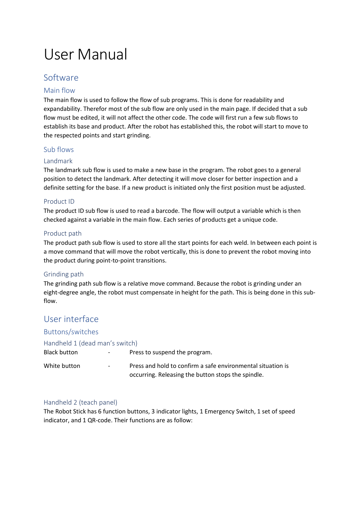# User Manual

## Software

#### Main flow

The main flow is used to follow the flow of sub programs. This is done for readability and expandability. Therefor most of the sub flow are only used in the main page. If decided that a sub flow must be edited, it will not affect the other code. The code will first run a few sub flows to establish its base and product. After the robot has established this, the robot will start to move to the respected points and start grinding.

#### Sub flows

#### Landmark

The landmark sub flow is used to make a new base in the program. The robot goes to a general position to detect the landmark. After detecting it will move closer for better inspection and a definite setting for the base. If a new product is initiated only the first position must be adjusted.

#### Product ID

The product ID sub flow is used to read a barcode. The flow will output a variable which is then checked against a variable in the main flow. Each series of products get a unique code.

#### Product path

The product path sub flow is used to store all the start points for each weld. In between each point is a move command that will move the robot vertically, this is done to prevent the robot moving into the product during point-to-point transitions.

#### Grinding path

The grinding path sub flow is a relative move command. Because the robot is grinding under an eight-degree angle, the robot must compensate in height for the path. This is being done in this subflow.

### User interface

#### Buttons/switches

#### Handheld 1 (dead man's switch)

| Black button | $\overline{\phantom{a}}$ | Press to suspend the program.                                                                                     |
|--------------|--------------------------|-------------------------------------------------------------------------------------------------------------------|
| White button | $\sim$                   | Press and hold to confirm a safe environmental situation is<br>occurring. Releasing the button stops the spindle. |

#### Handheld 2 (teach panel)

The Robot Stick has 6 function buttons, 3 indicator lights, 1 Emergency Switch, 1 set of speed indicator, and 1 QR-code. Their functions are as follow: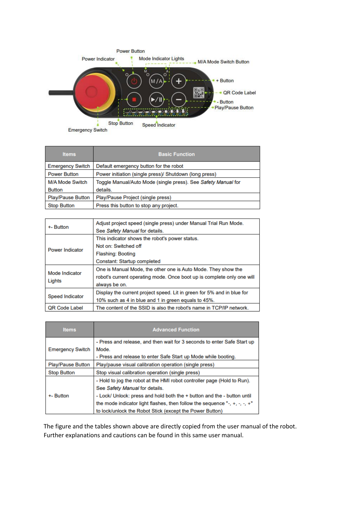

| <b>Items</b>             | <b>Basic Function</b>                                         |  |  |
|--------------------------|---------------------------------------------------------------|--|--|
| <b>Emergency Switch</b>  | Default emergency button for the robot                        |  |  |
| <b>Power Button</b>      | Power initiation (single press)/ Shutdown (long press)        |  |  |
| <b>M/A Mode Switch</b>   | Toggle Manual/Auto Mode (single press). See Safety Manual for |  |  |
| <b>Button</b>            | details.                                                      |  |  |
| <b>Play/Pause Button</b> | Play/Pause Project (single press)                             |  |  |
| <b>Stop Button</b>       | Press this button to stop any project.                        |  |  |

| +- Button                | Adjust project speed (single press) under Manual Trial Run Mode.<br>See Safety Manual for details. |  |  |
|--------------------------|----------------------------------------------------------------------------------------------------|--|--|
| <b>Power Indicator</b>   | This indicator shows the robot's power status.                                                     |  |  |
|                          | Not on: Switched off                                                                               |  |  |
|                          | <b>Flashing: Booting</b>                                                                           |  |  |
|                          | Constant: Startup completed                                                                        |  |  |
| Mode Indicator<br>Lights | One is Manual Mode, the other one is Auto Mode. They show the                                      |  |  |
|                          | robot's current operating mode. Once boot up is complete only one will                             |  |  |
|                          | always be on.                                                                                      |  |  |
| <b>Speed Indicator</b>   | Display the current project speed. Lit in green for 5% and in blue for                             |  |  |
|                          | 10% such as 4 in blue and 1 in green equals to 45%.                                                |  |  |
| <b>QR Code Label</b>     | The content of the SSID is also the robot's name in TCP/IP network.                                |  |  |

| <b>Items</b>             | <b>Advanced Function</b>                                                   |
|--------------------------|----------------------------------------------------------------------------|
|                          | - Press and release, and then wait for 3 seconds to enter Safe Start up    |
| <b>Emergency Switch</b>  | Mode.                                                                      |
|                          | - Press and release to enter Safe Start up Mode while booting.             |
| <b>Play/Pause Button</b> | Play/pause visual calibration operation (single press)                     |
| <b>Stop Button</b>       | Stop visual calibration operation (single press)                           |
| +- Button                | - Hold to jog the robot at the HMI robot controller page (Hold to Run).    |
|                          | See Safety Manual for details.                                             |
|                          | - Lock/ Unlock: press and hold both the + button and the - button until    |
|                          | the mode indicator light flashes, then follow the sequence "-, +, -, -, +" |
|                          | to lock/unlock the Robot Stick (except the Power Button)                   |

The figure and the tables shown above are directly copied from the user manual of the robot. Further explanations and cautions can be found in this same user manual.